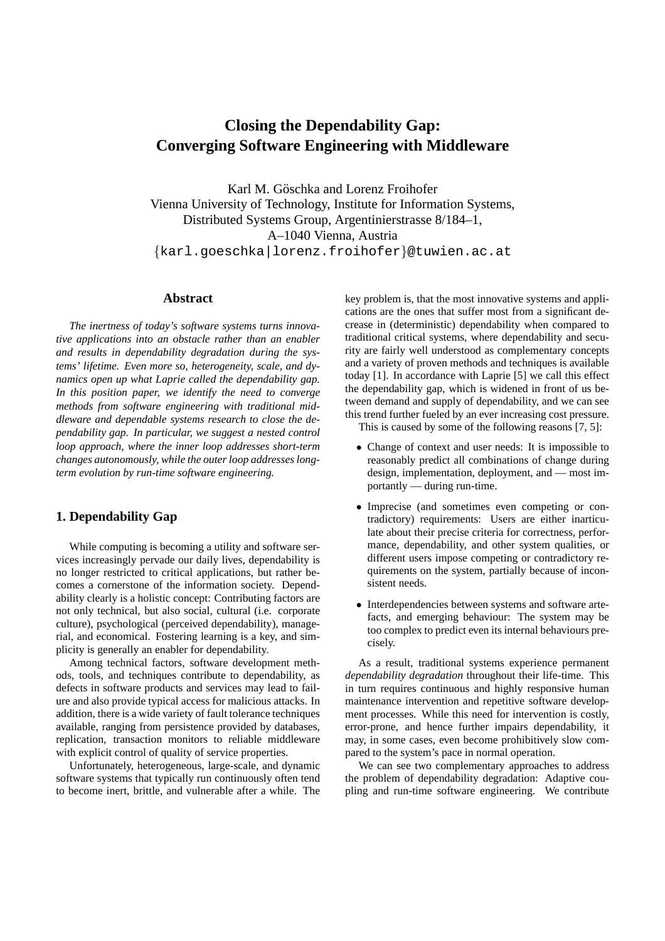# **Closing the Dependability Gap: Converging Software Engineering with Middleware**

Karl M. Göschka and Lorenz Froihofer Vienna University of Technology, Institute for Information Systems, Distributed Systems Group, Argentinierstrasse 8/184–1, A–1040 Vienna, Austria {karl.goeschka|lorenz.froihofer}@tuwien.ac.at

#### **Abstract**

*The inertness of today's software systems turns innovative applications into an obstacle rather than an enabler and results in dependability degradation during the systems' lifetime. Even more so, heterogeneity, scale, and dynamics open up what Laprie called the dependability gap. In this position paper, we identify the need to converge methods from software engineering with traditional middleware and dependable systems research to close the dependability gap. In particular, we suggest a nested control loop approach, where the inner loop addresses short-term changes autonomously, while the outer loop addresses longterm evolution by run-time software engineering.*

## **1. Dependability Gap**

While computing is becoming a utility and software services increasingly pervade our daily lives, dependability is no longer restricted to critical applications, but rather becomes a cornerstone of the information society. Dependability clearly is a holistic concept: Contributing factors are not only technical, but also social, cultural (i.e. corporate culture), psychological (perceived dependability), managerial, and economical. Fostering learning is a key, and simplicity is generally an enabler for dependability.

Among technical factors, software development methods, tools, and techniques contribute to dependability, as defects in software products and services may lead to failure and also provide typical access for malicious attacks. In addition, there is a wide variety of fault tolerance techniques available, ranging from persistence provided by databases, replication, transaction monitors to reliable middleware with explicit control of quality of service properties.

Unfortunately, heterogeneous, large-scale, and dynamic software systems that typically run continuously often tend to become inert, brittle, and vulnerable after a while. The key problem is, that the most innovative systems and applications are the ones that suffer most from a significant decrease in (deterministic) dependability when compared to traditional critical systems, where dependability and security are fairly well understood as complementary concepts and a variety of proven methods and techniques is available today [1]. In accordance with Laprie [5] we call this effect the dependability gap, which is widened in front of us between demand and supply of dependability, and we can see this trend further fueled by an ever increasing cost pressure.

This is caused by some of the following reasons [7, 5]:

- Change of context and user needs: It is impossible to reasonably predict all combinations of change during design, implementation, deployment, and — most importantly — during run-time.
- Imprecise (and sometimes even competing or contradictory) requirements: Users are either inarticulate about their precise criteria for correctness, performance, dependability, and other system qualities, or different users impose competing or contradictory requirements on the system, partially because of inconsistent needs.
- Interdependencies between systems and software artefacts, and emerging behaviour: The system may be too complex to predict even its internal behaviours precisely.

As a result, traditional systems experience permanent *dependability degradation* throughout their life-time. This in turn requires continuous and highly responsive human maintenance intervention and repetitive software development processes. While this need for intervention is costly, error-prone, and hence further impairs dependability, it may, in some cases, even become prohibitively slow compared to the system's pace in normal operation.

We can see two complementary approaches to address the problem of dependability degradation: Adaptive coupling and run-time software engineering. We contribute